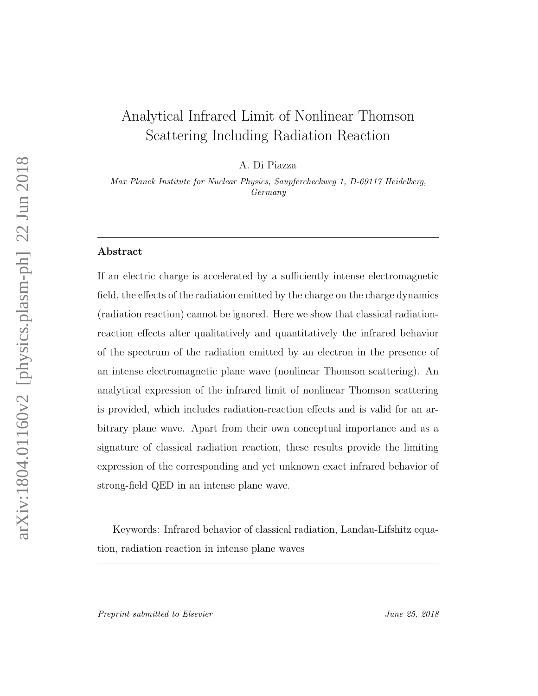# Analytical Infrared Limit of Nonlinear Thomson Scattering Including Radiation Reaction

A. Di Piazza

Max Planck Institute for Nuclear Physics, Saupfercheckweg 1, D-69117 Heidelberg, Germany

# Abstract

If an electric charge is accelerated by a sufficiently intense electromagnetic field, the effects of the radiation emitted by the charge on the charge dynamics (radiation reaction) cannot be ignored. Here we show that classical radiationreaction effects alter qualitatively and quantitatively the infrared behavior of the spectrum of the radiation emitted by an electron in the presence of an intense electromagnetic plane wave (nonlinear Thomson scattering). An analytical expression of the infrared limit of nonlinear Thomson scattering is provided, which includes radiation-reaction effects and is valid for an arbitrary plane wave. Apart from their own conceptual importance and as a signature of classical radiation reaction, these results provide the limiting expression of the corresponding and yet unknown exact infrared behavior of strong-field QED in an intense plane wave.

Keywords: Infrared behavior of classical radiation, Landau-Lifshitz equation, radiation reaction in intense plane waves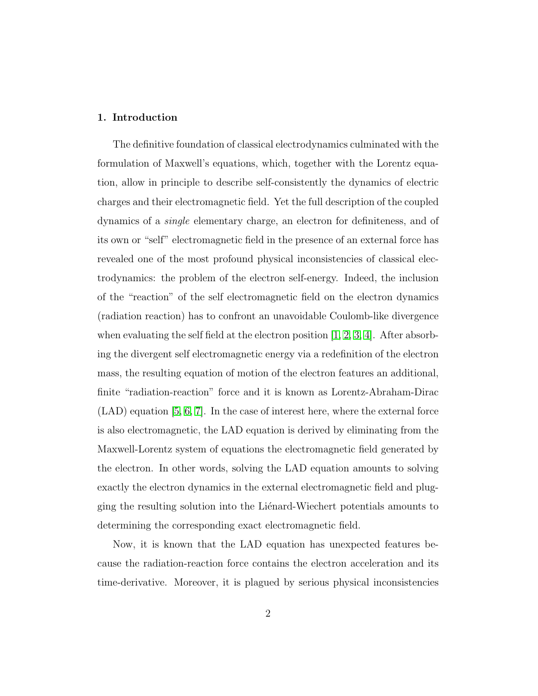# 1. Introduction

The definitive foundation of classical electrodynamics culminated with the formulation of Maxwell's equations, which, together with the Lorentz equation, allow in principle to describe self-consistently the dynamics of electric charges and their electromagnetic field. Yet the full description of the coupled dynamics of a single elementary charge, an electron for definiteness, and of its own or "self" electromagnetic field in the presence of an external force has revealed one of the most profound physical inconsistencies of classical electrodynamics: the problem of the electron self-energy. Indeed, the inclusion of the "reaction" of the self electromagnetic field on the electron dynamics (radiation reaction) has to confront an unavoidable Coulomb-like divergence when evaluating the self field at the electron position  $[1, 2, 3, 4]$  $[1, 2, 3, 4]$  $[1, 2, 3, 4]$  $[1, 2, 3, 4]$ . After absorbing the divergent self electromagnetic energy via a redefinition of the electron mass, the resulting equation of motion of the electron features an additional, finite "radiation-reaction" force and it is known as Lorentz-Abraham-Dirac (LAD) equation [\[5,](#page-22-4) [6,](#page-22-5) [7\]](#page-22-6). In the case of interest here, where the external force is also electromagnetic, the LAD equation is derived by eliminating from the Maxwell-Lorentz system of equations the electromagnetic field generated by the electron. In other words, solving the LAD equation amounts to solving exactly the electron dynamics in the external electromagnetic field and plugging the resulting solution into the Liénard-Wiechert potentials amounts to determining the corresponding exact electromagnetic field.

Now, it is known that the LAD equation has unexpected features because the radiation-reaction force contains the electron acceleration and its time-derivative. Moreover, it is plagued by serious physical inconsistencies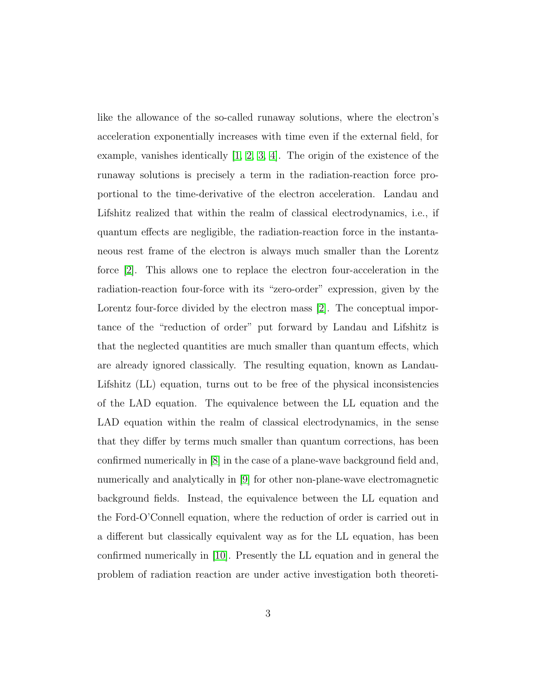like the allowance of the so-called runaway solutions, where the electron's acceleration exponentially increases with time even if the external field, for example, vanishes identically [\[1,](#page-22-0) [2,](#page-22-1) [3,](#page-22-2) [4\]](#page-22-3). The origin of the existence of the runaway solutions is precisely a term in the radiation-reaction force proportional to the time-derivative of the electron acceleration. Landau and Lifshitz realized that within the realm of classical electrodynamics, i.e., if quantum effects are negligible, the radiation-reaction force in the instantaneous rest frame of the electron is always much smaller than the Lorentz force [\[2\]](#page-22-1). This allows one to replace the electron four-acceleration in the radiation-reaction four-force with its "zero-order" expression, given by the Lorentz four-force divided by the electron mass [\[2\]](#page-22-1). The conceptual importance of the "reduction of order" put forward by Landau and Lifshitz is that the neglected quantities are much smaller than quantum effects, which are already ignored classically. The resulting equation, known as Landau-Lifshitz (LL) equation, turns out to be free of the physical inconsistencies of the LAD equation. The equivalence between the LL equation and the LAD equation within the realm of classical electrodynamics, in the sense that they differ by terms much smaller than quantum corrections, has been confirmed numerically in [\[8\]](#page-22-7) in the case of a plane-wave background field and, numerically and analytically in [\[9\]](#page-22-8) for other non-plane-wave electromagnetic background fields. Instead, the equivalence between the LL equation and the Ford-O'Connell equation, where the reduction of order is carried out in a different but classically equivalent way as for the LL equation, has been confirmed numerically in [\[10\]](#page-22-9). Presently the LL equation and in general the problem of radiation reaction are under active investigation both theoreti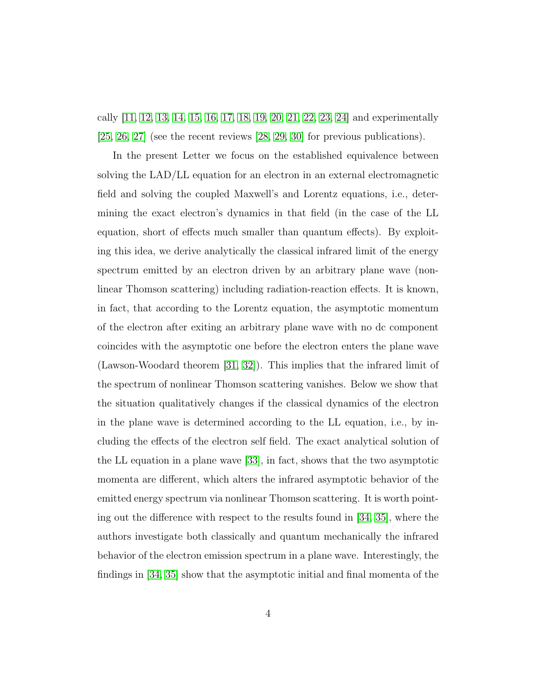cally [\[11,](#page-22-10) [12,](#page-22-11) [13,](#page-23-0) [14,](#page-23-1) [15,](#page-23-2) [16,](#page-23-3) [17,](#page-23-4) [18,](#page-23-5) [19,](#page-23-6) [20,](#page-23-7) [21,](#page-23-8) [22,](#page-23-9) [23,](#page-24-0) [24\]](#page-24-1) and experimentally [\[25,](#page-24-2) [26,](#page-24-3) [27\]](#page-24-4) (see the recent reviews [\[28,](#page-24-5) [29,](#page-24-6) [30\]](#page-24-7) for previous publications).

In the present Letter we focus on the established equivalence between solving the LAD/LL equation for an electron in an external electromagnetic field and solving the coupled Maxwell's and Lorentz equations, i.e., determining the exact electron's dynamics in that field (in the case of the LL equation, short of effects much smaller than quantum effects). By exploiting this idea, we derive analytically the classical infrared limit of the energy spectrum emitted by an electron driven by an arbitrary plane wave (nonlinear Thomson scattering) including radiation-reaction effects. It is known, in fact, that according to the Lorentz equation, the asymptotic momentum of the electron after exiting an arbitrary plane wave with no dc component coincides with the asymptotic one before the electron enters the plane wave (Lawson-Woodard theorem [\[31,](#page-24-8) [32\]](#page-25-0)). This implies that the infrared limit of the spectrum of nonlinear Thomson scattering vanishes. Below we show that the situation qualitatively changes if the classical dynamics of the electron in the plane wave is determined according to the LL equation, i.e., by including the effects of the electron self field. The exact analytical solution of the LL equation in a plane wave [\[33\]](#page-25-1), in fact, shows that the two asymptotic momenta are different, which alters the infrared asymptotic behavior of the emitted energy spectrum via nonlinear Thomson scattering. It is worth pointing out the difference with respect to the results found in [\[34,](#page-25-2) [35\]](#page-25-3), where the authors investigate both classically and quantum mechanically the infrared behavior of the electron emission spectrum in a plane wave. Interestingly, the findings in [\[34,](#page-25-2) [35\]](#page-25-3) show that the asymptotic initial and final momenta of the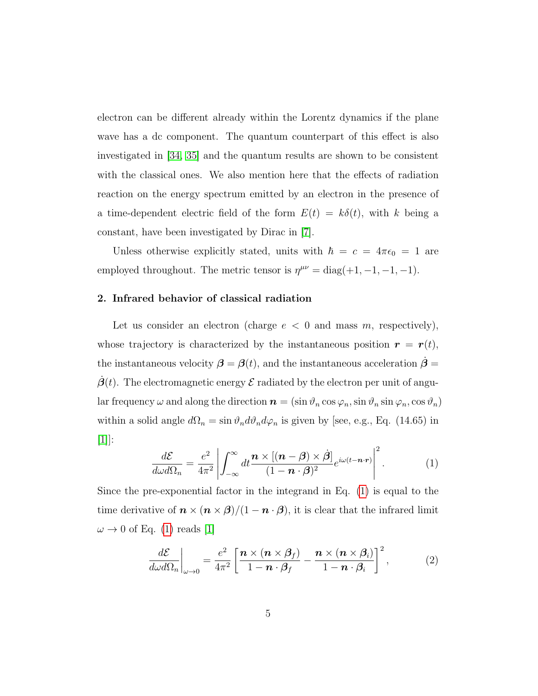electron can be different already within the Lorentz dynamics if the plane wave has a dc component. The quantum counterpart of this effect is also investigated in [\[34,](#page-25-2) [35\]](#page-25-3) and the quantum results are shown to be consistent with the classical ones. We also mention here that the effects of radiation reaction on the energy spectrum emitted by an electron in the presence of a time-dependent electric field of the form  $E(t) = k\delta(t)$ , with k being a constant, have been investigated by Dirac in [\[7\]](#page-22-6).

Unless otherwise explicitly stated, units with  $\hbar = c = 4\pi\epsilon_0 = 1$  are employed throughout. The metric tensor is  $\eta^{\mu\nu} = \text{diag}(+1, -1, -1, -1)$ .

## 2. Infrared behavior of classical radiation

Let us consider an electron (charge  $e < 0$  and mass m, respectively), whose trajectory is characterized by the instantaneous position  $\mathbf{r} = \mathbf{r}(t)$ , the instantaneous velocity  $\beta = \beta(t)$ , and the instantaneous acceleration  $\dot{\beta} =$  $\beta(t)$ . The electromagnetic energy  $\mathcal E$  radiated by the electron per unit of angular frequency  $\omega$  and along the direction  $\mathbf{n} = (\sin \vartheta_n \cos \varphi_n, \sin \vartheta_n \sin \varphi_n, \cos \vartheta_n)$ within a solid angle  $d\Omega_n = \sin \vartheta_n d\vartheta_n d\varphi_n$  is given by [see, e.g., Eq. (14.65) in [\[1\]](#page-22-0)]:

<span id="page-4-0"></span>
$$
\frac{d\mathcal{E}}{d\omega d\Omega_n} = \frac{e^2}{4\pi^2} \left| \int_{-\infty}^{\infty} dt \frac{\mathbf{n} \times [(\mathbf{n} - \mathbf{\beta}) \times \dot{\mathbf{\beta}}]}{(1 - \mathbf{n} \cdot \mathbf{\beta})^2} e^{i\omega(t - \mathbf{n} \cdot \mathbf{r})} \right|^2.
$$
 (1)

Since the pre-exponential factor in the integrand in Eq. [\(1\)](#page-4-0) is equal to the time derivative of  $\mathbf{n} \times (\mathbf{n} \times \mathbf{\beta})/(1 - \mathbf{n} \cdot \mathbf{\beta})$ , it is clear that the infrared limit  $\omega \rightarrow 0$  of Eq. [\(1\)](#page-4-0) reads [\[1\]](#page-22-0)

<span id="page-4-1"></span>
$$
\frac{d\mathcal{E}}{d\omega d\Omega_n}\bigg|_{\omega\to 0} = \frac{e^2}{4\pi^2} \left[ \frac{\boldsymbol{n} \times (\boldsymbol{n} \times \boldsymbol{\beta}_f)}{1 - \boldsymbol{n} \cdot \boldsymbol{\beta}_f} - \frac{\boldsymbol{n} \times (\boldsymbol{n} \times \boldsymbol{\beta}_i)}{1 - \boldsymbol{n} \cdot \boldsymbol{\beta}_i} \right]^2, \tag{2}
$$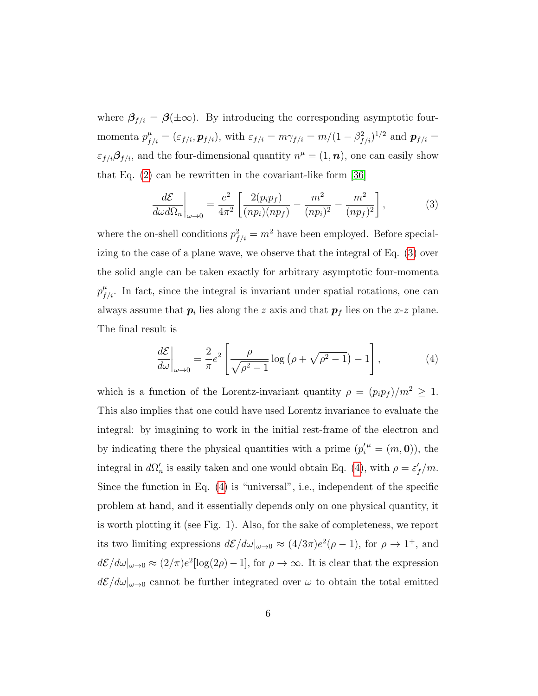where  $\beta_{f/i} = \beta(\pm \infty)$ . By introducing the corresponding asymptotic fourmomenta  $p_{f/i}^{\mu} = (\varepsilon_{f/i}, \mathbf{p}_{f/i})$ , with  $\varepsilon_{f/i} = m \gamma_{f/i} = m/(1 - \beta_{f/i}^2)^{1/2}$  and  $\mathbf{p}_{f/i} =$  $\varepsilon_{f/i} \mathcal{G}_{f/i}$ , and the four-dimensional quantity  $n^{\mu} = (1, n)$ , one can easily show that Eq. [\(2\)](#page-4-1) can be rewritten in the covariant-like form [\[36\]](#page-25-4)

<span id="page-5-0"></span>
$$
\frac{d\mathcal{E}}{d\omega d\Omega_n}\bigg|_{\omega \to 0} = \frac{e^2}{4\pi^2} \left[ \frac{2(p_i p_f)}{(n p_i)(n p_f)} - \frac{m^2}{(n p_i)^2} - \frac{m^2}{(n p_f)^2} \right],
$$
(3)

where the on-shell conditions  $p_{f/i}^2 = m^2$  have been employed. Before specializing to the case of a plane wave, we observe that the integral of Eq. [\(3\)](#page-5-0) over the solid angle can be taken exactly for arbitrary asymptotic four-momenta  $p^{\mu}_{f/i}$ . In fact, since the integral is invariant under spatial rotations, one can always assume that  $p_i$  lies along the z axis and that  $p_f$  lies on the x-z plane. The final result is

<span id="page-5-1"></span>
$$
\frac{d\mathcal{E}}{d\omega}\bigg|_{\omega\to 0} = \frac{2}{\pi}e^2 \left[\frac{\rho}{\sqrt{\rho^2 - 1}}\log\left(\rho + \sqrt{\rho^2 - 1}\right) - 1\right],\tag{4}
$$

which is a function of the Lorentz-invariant quantity  $\rho = (p_i p_f)/m^2 \geq 1$ . This also implies that one could have used Lorentz invariance to evaluate the integral: by imagining to work in the initial rest-frame of the electron and by indicating there the physical quantities with a prime  $(p_i^{\prime \mu} = (m, \mathbf{0}))$ , the integral in  $d\Omega'_n$  is easily taken and one would obtain Eq. [\(4\)](#page-5-1), with  $\rho = \varepsilon'_f/m$ . Since the function in Eq. [\(4\)](#page-5-1) is "universal", i.e., independent of the specific problem at hand, and it essentially depends only on one physical quantity, it is worth plotting it (see Fig. 1). Also, for the sake of completeness, we report its two limiting expressions  $d\mathcal{E}/d\omega|_{\omega\to 0} \approx (4/3\pi)e^2(\rho-1)$ , for  $\rho \to 1^+$ , and  $d\mathcal{E}/d\omega|_{\omega\to 0} \approx (2/\pi)e^2[\log(2\rho)-1]$ , for  $\rho \to \infty$ . It is clear that the expression  $d\mathcal{E}/d\omega|_{\omega\to 0}$  cannot be further integrated over  $\omega$  to obtain the total emitted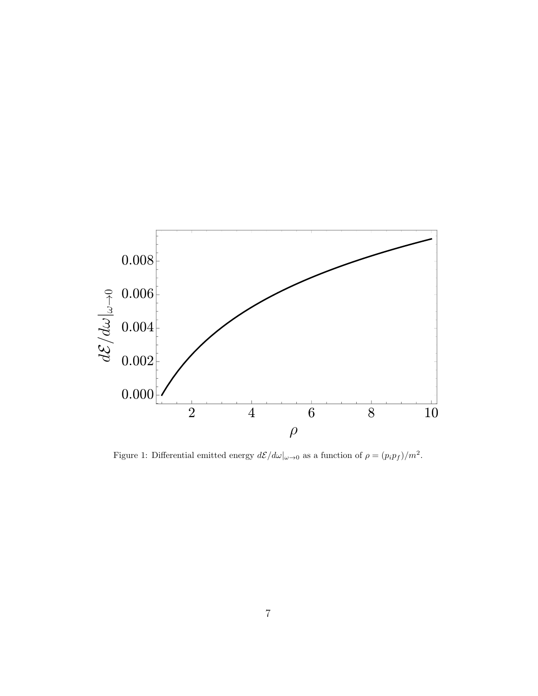

Figure 1: Differential emitted energy  $d\mathcal{E}/d\omega|_{\omega\to 0}$  as a function of  $\rho = (p_i p_f)/m^2$ .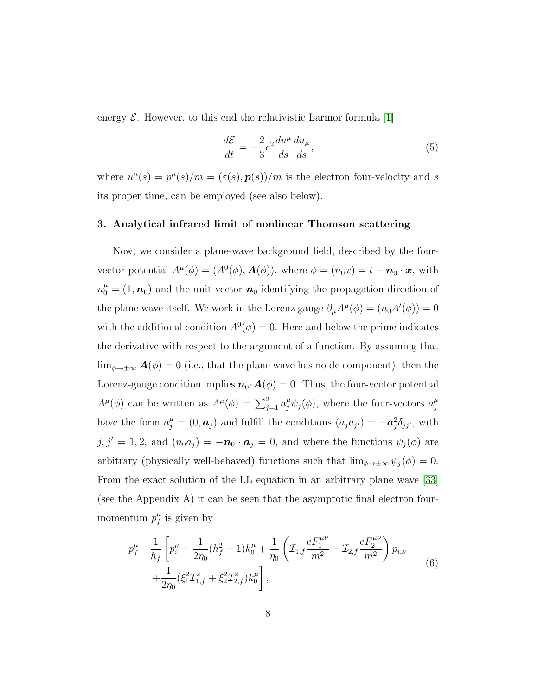energy  $\mathcal E$ . However, to this end the relativistic Larmor formula [\[1\]](#page-22-0)

<span id="page-7-0"></span>
$$
\frac{d\mathcal{E}}{dt} = -\frac{2}{3}e^2 \frac{du^\mu}{ds} \frac{du_\mu}{ds},\tag{5}
$$

where  $u^{\mu}(s) = p^{\mu}(s)/m = (\varepsilon(s), p(s))/m$  is the electron four-velocity and s its proper time, can be employed (see also below).

# 3. Analytical infrared limit of nonlinear Thomson scattering

Now, we consider a plane-wave background field, described by the fourvector potential  $A^{\mu}(\phi) = (A^0(\phi), \mathbf{A}(\phi))$ , where  $\phi = (n_0x) = t - \mathbf{n}_0 \cdot \mathbf{x}$ , with  $n_0^{\mu} = (1, n_0)$  and the unit vector  $n_0$  identifying the propagation direction of the plane wave itself. We work in the Lorenz gauge  $\partial_{\mu}A^{\mu}(\phi) = (n_0 A'(\phi)) = 0$ with the additional condition  $A^0(\phi) = 0$ . Here and below the prime indicates the derivative with respect to the argument of a function. By assuming that  $\lim_{\phi \to \pm \infty} \mathbf{A}(\phi) = 0$  (i.e., that the plane wave has no dc component), then the Lorenz-gauge condition implies  $\mathbf{n}_0 \cdot \mathbf{A}(\phi) = 0$ . Thus, the four-vector potential  $A^{\mu}(\phi)$  can be written as  $A^{\mu}(\phi) = \sum_{j=1}^{2} a_j^{\mu} \psi_j(\phi)$ , where the four-vectors  $a_j^{\mu}$ j have the form  $a_j^{\mu} = (0, a_j)$  and fulfill the conditions  $(a_j a_{j'}) = -a_j^2 \delta_{jj'}$ , with  $j, j' = 1, 2$ , and  $(n_0 a_j) = -n_0 \cdot a_j = 0$ , and where the functions  $\psi_j(\phi)$  are arbitrary (physically well-behaved) functions such that  $\lim_{\phi \to \pm \infty} \psi_j(\phi) = 0$ . From the exact solution of the LL equation in an arbitrary plane wave [\[33\]](#page-25-1) (see the Appendix A) it can be seen that the asymptotic final electron fourmomentum  $p_f^{\mu}$  $f$ <sup> $\mu$ </sup> is given by

$$
p_f^{\mu} = \frac{1}{h_f} \left[ p_i^{\mu} + \frac{1}{2\eta_0} (h_f^2 - 1) k_0^{\mu} + \frac{1}{\eta_0} \left( \mathcal{I}_{1,f} \frac{e F_1^{\mu \nu}}{m^2} + \mathcal{I}_{2,f} \frac{e F_2^{\mu \nu}}{m^2} \right) p_{i,\nu} + \frac{1}{2\eta_0} (\xi_1^2 \mathcal{I}_{1,f}^2 + \xi_2^2 \mathcal{I}_{2,f}^2) k_0^{\mu} \right],
$$
\n(6)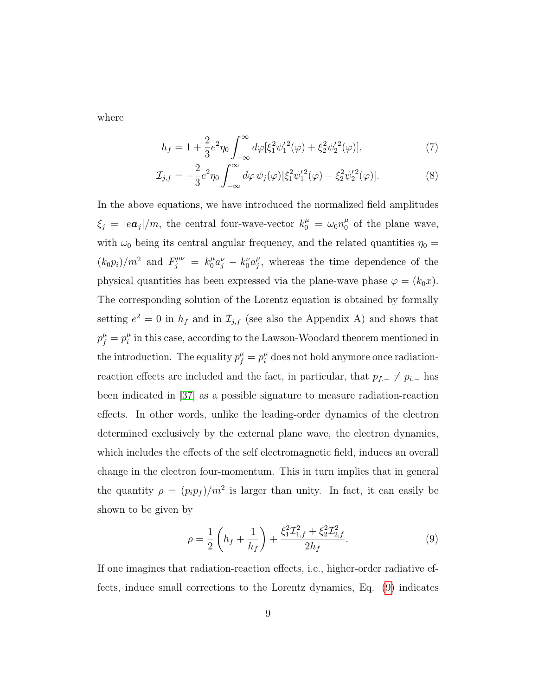where

<span id="page-8-1"></span>
$$
h_f = 1 + \frac{2}{3}e^2\eta_0 \int_{-\infty}^{\infty} d\varphi \left[\xi_1^2 \psi_1'^2(\varphi) + \xi_2^2 \psi_2'^2(\varphi)\right],\tag{7}
$$

$$
\mathcal{I}_{j,f} = -\frac{2}{3}e^2 \eta_0 \int_{-\infty}^{\infty} d\varphi \, \psi_j(\varphi) [\xi_1^2 \psi_1'^2(\varphi) + \xi_2^2 \psi_2'^2(\varphi)]. \tag{8}
$$

In the above equations, we have introduced the normalized field amplitudes  $\xi_j = |ea_j|/m$ , the central four-wave-vector  $k_0^{\mu} = \omega_0 n_0^{\mu}$  $\int_0^\mu$  of the plane wave, with  $\omega_0$  being its central angular frequency, and the related quantities  $\eta_0 =$  $(k_0 p_i)/m^2$  and  $F_j^{\mu\nu} = k_0^{\mu} a_j^{\nu} - k_0^{\nu} a_j^{\mu}$  $_{j}^{\mu}$ , whereas the time dependence of the physical quantities has been expressed via the plane-wave phase  $\varphi = (k_0 x)$ . The corresponding solution of the Lorentz equation is obtained by formally setting  $e^2 = 0$  in  $h_f$  and in  $\mathcal{I}_{j,f}$  (see also the Appendix A) and shows that  $p_f^{\mu} = p_i^{\mu}$  $\mu$ <sup> $\mu$ </sup> in this case, according to the Lawson-Woodard theorem mentioned in the introduction. The equality  $p_f^{\mu} = p_i^{\mu}$  does not hold anymore once radiationreaction effects are included and the fact, in particular, that  $p_{f,-} \neq p_{i,-}$  has been indicated in [\[37\]](#page-25-5) as a possible signature to measure radiation-reaction effects. In other words, unlike the leading-order dynamics of the electron determined exclusively by the external plane wave, the electron dynamics, which includes the effects of the self electromagnetic field, induces an overall change in the electron four-momentum. This in turn implies that in general the quantity  $\rho = (p_i p_f)/m^2$  is larger than unity. In fact, it can easily be shown to be given by

<span id="page-8-0"></span>
$$
\rho = \frac{1}{2} \left( h_f + \frac{1}{h_f} \right) + \frac{\xi_1^2 \mathcal{I}_{1,f}^2 + \xi_2^2 \mathcal{I}_{2,f}^2}{2h_f}.
$$
\n(9)

If one imagines that radiation-reaction effects, i.e., higher-order radiative effects, induce small corrections to the Lorentz dynamics, Eq. [\(9\)](#page-8-0) indicates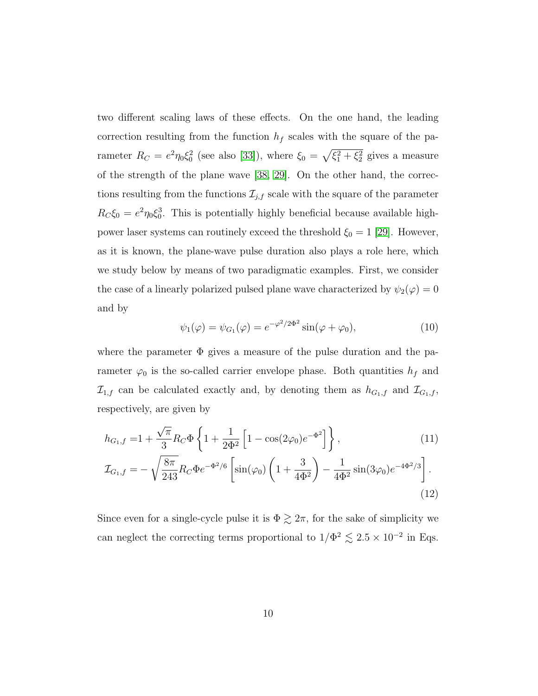two different scaling laws of these effects. On the one hand, the leading correction resulting from the function  $h_f$  scales with the square of the parameter  $R_C = e^2 \eta_0 \xi_0^2$  (see also [\[33\]](#page-25-1)), where  $\xi_0 = \sqrt{\xi_1^2 + \xi_2^2}$  gives a measure of the strength of the plane wave [\[38,](#page-25-6) [29\]](#page-24-6). On the other hand, the corrections resulting from the functions  $\mathcal{I}_{j,f}$  scale with the square of the parameter  $R_{\mathcal{C}}\xi_0 = e^2\eta_0\xi_0^3$ . This is potentially highly beneficial because available highpower laser systems can routinely exceed the threshold  $\xi_0 = 1$  [\[29\]](#page-24-6). However, as it is known, the plane-wave pulse duration also plays a role here, which we study below by means of two paradigmatic examples. First, we consider the case of a linearly polarized pulsed plane wave characterized by  $\psi_2(\varphi) = 0$ and by

<span id="page-9-1"></span><span id="page-9-0"></span>
$$
\psi_1(\varphi) = \psi_{G_1}(\varphi) = e^{-\varphi^2/2\Phi^2} \sin(\varphi + \varphi_0), \tag{10}
$$

where the parameter  $\Phi$  gives a measure of the pulse duration and the parameter  $\varphi_0$  is the so-called carrier envelope phase. Both quantities  $h_f$  and  $\mathcal{I}_{1,f}$  can be calculated exactly and, by denoting them as  $h_{G_1,f}$  and  $\mathcal{I}_{G_1,f}$ , respectively, are given by

$$
h_{G_1,f} = 1 + \frac{\sqrt{\pi}}{3} R_C \Phi \left\{ 1 + \frac{1}{2\Phi^2} \left[ 1 - \cos(2\varphi_0) e^{-\Phi^2} \right] \right\},\tag{11}
$$
  

$$
\mathcal{I}_{G_1,f} = -\sqrt{\frac{8\pi}{243}} R_C \Phi e^{-\Phi^2/6} \left[ \sin(\varphi_0) \left( 1 + \frac{3}{4\Phi^2} \right) - \frac{1}{4\Phi^2} \sin(3\varphi_0) e^{-4\Phi^2/3} \right].\tag{12}
$$

Since even for a single-cycle pulse it is  $\Phi \gtrsim 2\pi$ , for the sake of simplicity we can neglect the correcting terms proportional to  $1/\Phi^2 \lesssim 2.5 \times 10^{-2}$  in Eqs.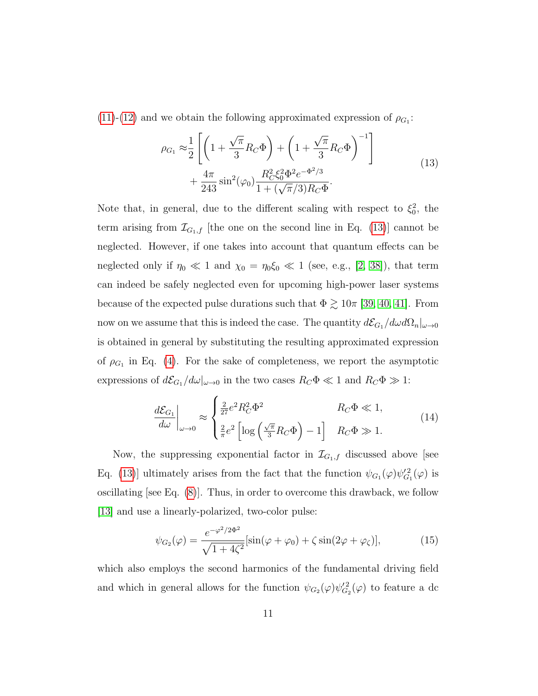$(11)-(12)$  $(11)-(12)$  $(11)-(12)$  and we obtain the following approximated expression of  $\rho_{G_1}$ :

<span id="page-10-0"></span>
$$
\rho_{G_1} \approx \frac{1}{2} \left[ \left( 1 + \frac{\sqrt{\pi}}{3} R_C \Phi \right) + \left( 1 + \frac{\sqrt{\pi}}{3} R_C \Phi \right)^{-1} \right] + \frac{4\pi}{243} \sin^2(\varphi_0) \frac{R_C^2 \xi_0^2 \Phi^2 e^{-\Phi^2/3}}{1 + (\sqrt{\pi}/3) R_C \Phi}. \tag{13}
$$

Note that, in general, due to the different scaling with respect to  $\xi_0^2$ , the term arising from  $\mathcal{I}_{G_1,f}$  [the one on the second line in Eq. [\(13\)](#page-10-0)] cannot be neglected. However, if one takes into account that quantum effects can be neglected only if  $\eta_0 \ll 1$  and  $\chi_0 = \eta_0 \xi_0 \ll 1$  (see, e.g., [\[2,](#page-22-1) [38\]](#page-25-6)), that term can indeed be safely neglected even for upcoming high-power laser systems because of the expected pulse durations such that  $\Phi \gtrsim 10\pi$  [\[39,](#page-25-7) [40,](#page-25-8) [41\]](#page-25-9). From now on we assume that this is indeed the case. The quantity  $d\mathcal{E}_{G_1}/d\omega d\Omega_n|_{\omega\to 0}$ is obtained in general by substituting the resulting approximated expression of  $\rho_{G_1}$  in Eq. [\(4\)](#page-5-1). For the sake of completeness, we report the asymptotic expressions of  $d\mathcal{E}_{G_1}/d\omega|_{\omega\to 0}$  in the two cases  $R_C\Phi \ll 1$  and  $R_C\Phi \gg 1$ :

$$
\frac{d\mathcal{E}_{G_1}}{d\omega}\Big|_{\omega\to 0} \approx \begin{cases} \frac{2}{27}e^2R_C^2\Phi^2 & Re\Phi \ll 1, \\ \frac{2}{\pi}e^2\left[\log\left(\frac{\sqrt{\pi}}{3}R_C\Phi\right) - 1\right] & Re\Phi \gg 1. \end{cases}
$$
(14)

Now, the suppressing exponential factor in  $\mathcal{I}_{G_1,f}$  discussed above [see Eq. [\(13\)](#page-10-0)] ultimately arises from the fact that the function  $\psi_{G_1}(\varphi)\psi_{G_1}^{\prime 2}(\varphi)$  is oscillating [see Eq. [\(8\)](#page-8-1)]. Thus, in order to overcome this drawback, we follow [\[13\]](#page-23-0) and use a linearly-polarized, two-color pulse:

$$
\psi_{G_2}(\varphi) = \frac{e^{-\varphi^2/2\Phi^2}}{\sqrt{1+4\zeta^2}} [\sin(\varphi + \varphi_0) + \zeta \sin(2\varphi + \varphi_\zeta)],
$$
\n(15)

which also employs the second harmonics of the fundamental driving field and which in general allows for the function  $\psi_{G_2}(\varphi)\psi_{G_2}^{\prime 2}(\varphi)$  to feature a dc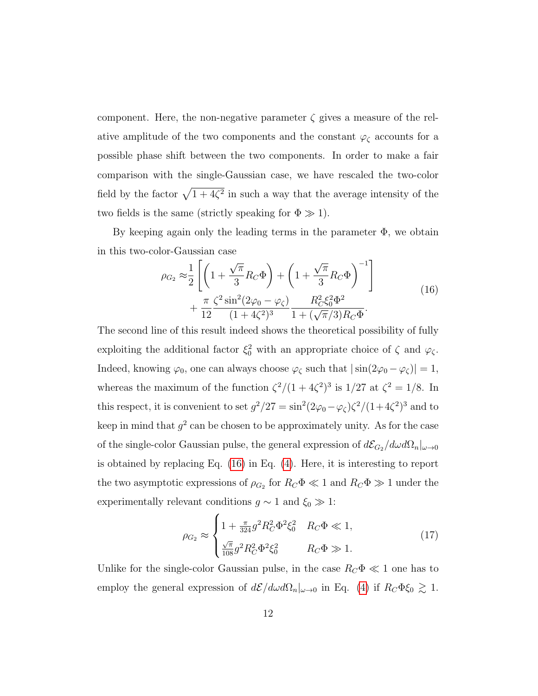component. Here, the non-negative parameter  $\zeta$  gives a measure of the relative amplitude of the two components and the constant  $\varphi_{\zeta}$  accounts for a possible phase shift between the two components. In order to make a fair comparison with the single-Gaussian case, we have rescaled the two-color field by the factor  $\sqrt{1 + 4\zeta^2}$  in such a way that the average intensity of the two fields is the same (strictly speaking for  $\Phi \gg 1$ ).

By keeping again only the leading terms in the parameter  $\Phi$ , we obtain in this two-color-Gaussian case

<span id="page-11-0"></span>
$$
\rho_{G_2} \approx \frac{1}{2} \left[ \left( 1 + \frac{\sqrt{\pi}}{3} R_C \Phi \right) + \left( 1 + \frac{\sqrt{\pi}}{3} R_C \Phi \right)^{-1} \right] + \frac{\pi}{12} \frac{\zeta^2 \sin^2(2\varphi_0 - \varphi_\zeta)}{(1 + 4\zeta^2)^3} \frac{R_C^2 \xi_0^2 \Phi^2}{1 + (\sqrt{\pi}/3) R_C \Phi}. \tag{16}
$$

The second line of this result indeed shows the theoretical possibility of fully exploiting the additional factor  $\xi_0^2$  with an appropriate choice of  $\zeta$  and  $\varphi_{\zeta}$ . Indeed, knowing  $\varphi_0$ , one can always choose  $\varphi_\zeta$  such that  $|\sin(2\varphi_0 - \varphi_\zeta)| = 1$ , whereas the maximum of the function  $\zeta^2/(1+4\zeta^2)^3$  is  $1/27$  at  $\zeta^2=1/8$ . In this respect, it is convenient to set  $g^2/27 = \sin^2(2\varphi_0 - \varphi_\zeta)\zeta^2/(1+4\zeta^2)^3$  and to keep in mind that  $g^2$  can be chosen to be approximately unity. As for the case of the single-color Gaussian pulse, the general expression of  $d\mathcal{E}_{G_2}/d\omega d\Omega_n|_{\omega\to 0}$ is obtained by replacing Eq. [\(16\)](#page-11-0) in Eq. [\(4\)](#page-5-1). Here, it is interesting to report the two asymptotic expressions of  $\rho_{G_2}$  for  $R_C \Phi \ll 1$  and  $R_C \Phi \gg 1$  under the experimentally relevant conditions  $g \sim 1$  and  $\xi_0 \gg 1$ :

$$
\rho_{G_2} \approx \begin{cases} 1 + \frac{\pi}{324} g^2 R_C^2 \Phi^2 \xi_0^2 & R_C \Phi \ll 1, \\ \frac{\sqrt{\pi}}{108} g^2 R_C^2 \Phi^2 \xi_0^2 & R_C \Phi \gg 1. \end{cases} \tag{17}
$$

Unlike for the single-color Gaussian pulse, in the case  $R_C \Phi \ll 1$  one has to employ the general expression of  $d\mathcal{E}/d\omega d\Omega_n|_{\omega\to 0}$  in Eq. [\(4\)](#page-5-1) if  $R_C\Phi \xi_0 \gtrsim 1$ .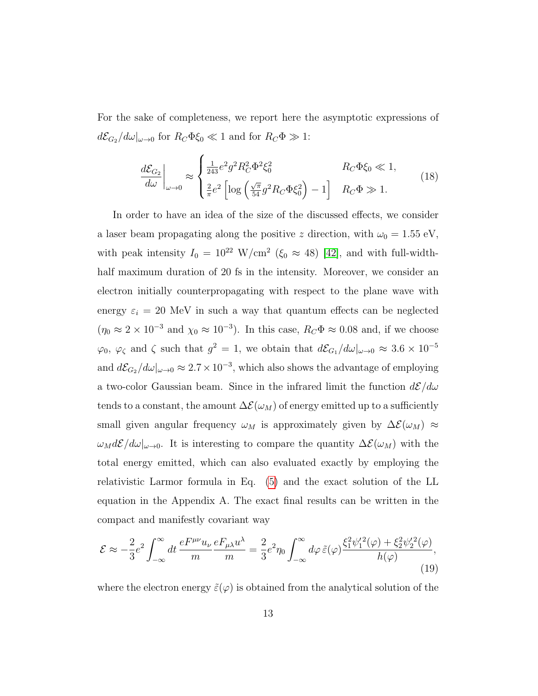For the sake of completeness, we report here the asymptotic expressions of  $d\mathcal{E}_{G_2}/d\omega|_{\omega\to 0}$  for  $R_C\Phi \xi_0 \ll 1$  and for  $R_C\Phi \gg 1$ :

$$
\frac{d\mathcal{E}_{G_2}}{d\omega}\Big|_{\omega\to 0} \approx \begin{cases} \frac{1}{243}e^2g^2R_C^2\Phi^2\xi_0^2 & R_C\Phi\xi_0 \ll 1, \\ \frac{2}{\pi}e^2\left[\log\left(\frac{\sqrt{\pi}}{54}g^2R_C\Phi\xi_0^2\right) - 1\right] & R_C\Phi \gg 1. \end{cases}
$$
(18)

In order to have an idea of the size of the discussed effects, we consider a laser beam propagating along the positive z direction, with  $\omega_0 = 1.55 \text{ eV}$ , with peak intensity  $I_0 = 10^{22} \text{ W/cm}^2 \ (\xi_0 \approx 48) \text{ [42]},$  $I_0 = 10^{22} \text{ W/cm}^2 \ (\xi_0 \approx 48) \text{ [42]},$  $I_0 = 10^{22} \text{ W/cm}^2 \ (\xi_0 \approx 48) \text{ [42]},$  and with full-widthhalf maximum duration of 20 fs in the intensity. Moreover, we consider an electron initially counterpropagating with respect to the plane wave with energy  $\varepsilon_i = 20$  MeV in such a way that quantum effects can be neglected  $(\eta_0 \approx 2 \times 10^{-3} \text{ and } \chi_0 \approx 10^{-3})$ . In this case,  $R_C \Phi \approx 0.08$  and, if we choose  $\varphi_0$ ,  $\varphi_\zeta$  and  $\zeta$  such that  $g^2 = 1$ , we obtain that  $d\mathcal{E}_{G_1}/d\omega|_{\omega\to 0} \approx 3.6 \times 10^{-5}$ and  $d\mathcal{E}_{G_2}/d\omega|_{\omega\to 0} \approx 2.7 \times 10^{-3}$ , which also shows the advantage of employing a two-color Gaussian beam. Since in the infrared limit the function  $d\mathcal{E}/d\omega$ tends to a constant, the amount  $\Delta \mathcal{E}(\omega_M)$  of energy emitted up to a sufficiently small given angular frequency  $\omega_M$  is approximately given by  $\Delta \mathcal{E}(\omega_M) \approx$  $\omega_M d\mathcal{E}/d\omega|_{\omega\to 0}$ . It is interesting to compare the quantity  $\Delta \mathcal{E}(\omega_M)$  with the total energy emitted, which can also evaluated exactly by employing the relativistic Larmor formula in Eq. [\(5\)](#page-7-0) and the exact solution of the LL equation in the Appendix A. The exact final results can be written in the compact and manifestly covariant way

$$
\mathcal{E} \approx -\frac{2}{3} e^2 \int_{-\infty}^{\infty} dt \, \frac{e F^{\mu\nu} u_{\nu}}{m} \frac{e F_{\mu\lambda} u^{\lambda}}{m} = \frac{2}{3} e^2 \eta_0 \int_{-\infty}^{\infty} d\varphi \, \tilde{\varepsilon}(\varphi) \frac{\xi_1^2 \psi_1'^2(\varphi) + \xi_2^2 \psi_2'^2(\varphi)}{h(\varphi)},\tag{19}
$$

where the electron energy  $\tilde{\varepsilon}(\varphi)$  is obtained from the analytical solution of the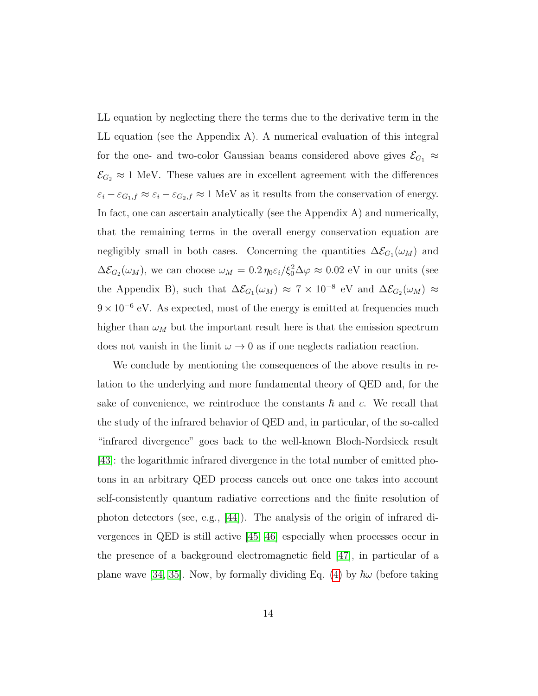LL equation by neglecting there the terms due to the derivative term in the LL equation (see the Appendix A). A numerical evaluation of this integral for the one- and two-color Gaussian beams considered above gives  $\mathcal{E}_{G_1} \approx$  $\mathcal{E}_{G_2} \approx 1$  MeV. These values are in excellent agreement with the differences  $\varepsilon_i - \varepsilon_{G_1,f} \approx \varepsilon_i - \varepsilon_{G_2,f} \approx 1$  MeV as it results from the conservation of energy. In fact, one can ascertain analytically (see the Appendix A) and numerically, that the remaining terms in the overall energy conservation equation are negligibly small in both cases. Concerning the quantities  $\Delta \mathcal{E}_{G_1}(\omega_M)$  and  $\Delta \mathcal{E}_{G_2}(\omega_M)$ , we can choose  $\omega_M = 0.2 \eta_0 \varepsilon_i / \xi_0^2 \Delta \varphi \approx 0.02$  eV in our units (see the Appendix B), such that  $\Delta \mathcal{E}_{G_1}(\omega_M) \approx 7 \times 10^{-8}$  eV and  $\Delta \mathcal{E}_{G_2}(\omega_M) \approx$  $9 \times 10^{-6}$  eV. As expected, most of the energy is emitted at frequencies much higher than  $\omega_M$  but the important result here is that the emission spectrum does not vanish in the limit  $\omega \to 0$  as if one neglects radiation reaction.

We conclude by mentioning the consequences of the above results in relation to the underlying and more fundamental theory of QED and, for the sake of convenience, we reintroduce the constants  $\hbar$  and c. We recall that the study of the infrared behavior of QED and, in particular, of the so-called "infrared divergence" goes back to the well-known Bloch-Nordsieck result [\[43\]](#page-25-11): the logarithmic infrared divergence in the total number of emitted photons in an arbitrary QED process cancels out once one takes into account self-consistently quantum radiative corrections and the finite resolution of photon detectors (see, e.g., [\[44\]](#page-26-0)). The analysis of the origin of infrared divergences in QED is still active [\[45,](#page-26-1) [46\]](#page-26-2) especially when processes occur in the presence of a background electromagnetic field [\[47\]](#page-26-3), in particular of a plane wave [\[34,](#page-25-2) [35\]](#page-25-3). Now, by formally dividing Eq. [\(4\)](#page-5-1) by  $\hbar\omega$  (before taking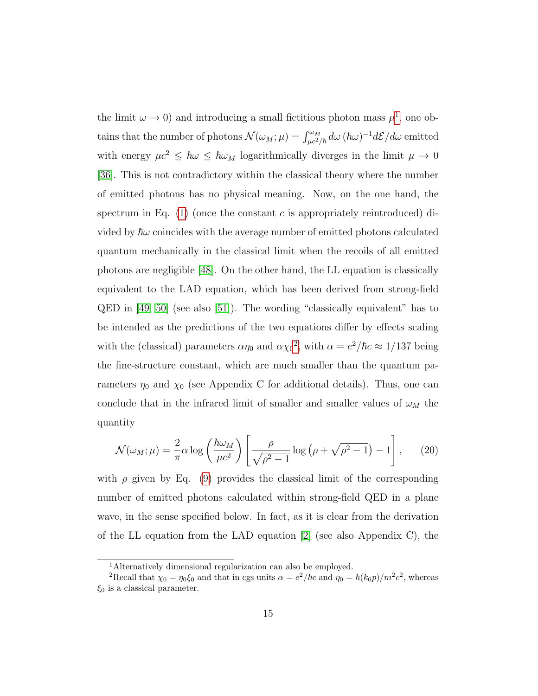the limit  $\omega \to 0$ ) and introducing a small fictitious photon mass  $\mu^1$  $\mu^1$ , one obtains that the number of photons  $\mathcal{N}(\omega_M; \mu) = \int_{\mu c^2/\hbar}^{\omega_M} d\omega \, (\hbar \omega)^{-1} d\mathcal{E}/d\omega$  emitted with energy  $\mu c^2 \leq \hbar \omega \leq \hbar \omega_M$  logarithmically diverges in the limit  $\mu \to 0$ [\[36\]](#page-25-4). This is not contradictory within the classical theory where the number of emitted photons has no physical meaning. Now, on the one hand, the spectrum in Eq. [\(1\)](#page-4-0) (once the constant c is appropriately reintroduced) divided by  $\hbar\omega$  coincides with the average number of emitted photons calculated quantum mechanically in the classical limit when the recoils of all emitted photons are negligible [\[48\]](#page-26-4). On the other hand, the LL equation is classically equivalent to the LAD equation, which has been derived from strong-field QED in [\[49,](#page-26-5) [50\]](#page-26-6) (see also [\[51\]](#page-26-7)). The wording "classically equivalent" has to be intended as the predictions of the two equations differ by effects scaling with the (classical) parameters  $\alpha \eta_0$  and  $\alpha {\chi_0}^2$  $\alpha {\chi_0}^2$ , with  $\alpha = e^2/\hbar c \approx 1/137$  being the fine-structure constant, which are much smaller than the quantum parameters  $\eta_0$  and  $\chi_0$  (see Appendix C for additional details). Thus, one can conclude that in the infrared limit of smaller and smaller values of  $\omega_M$  the quantity

$$
\mathcal{N}(\omega_M; \mu) = \frac{2}{\pi} \alpha \log \left( \frac{\hbar \omega_M}{\mu c^2} \right) \left[ \frac{\rho}{\sqrt{\rho^2 - 1}} \log \left( \rho + \sqrt{\rho^2 - 1} \right) - 1 \right], \quad (20)
$$

with  $\rho$  given by Eq. [\(9\)](#page-8-0) provides the classical limit of the corresponding number of emitted photons calculated within strong-field QED in a plane wave, in the sense specified below. In fact, as it is clear from the derivation of the LL equation from the LAD equation [\[2\]](#page-22-1) (see also Appendix C), the

<span id="page-14-1"></span><span id="page-14-0"></span><sup>1</sup>Alternatively dimensional regularization can also be employed.

<sup>&</sup>lt;sup>2</sup>Recall that  $\chi_0 = \eta_0 \xi_0$  and that in cgs units  $\alpha = e^2/\hbar c$  and  $\eta_0 = \hbar (k_0 p)/m^2 c^2$ , whereas  $\xi_0$  is a classical parameter.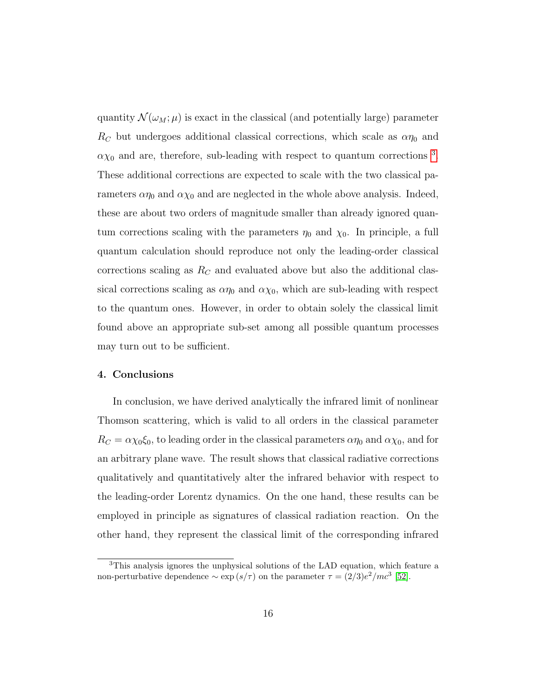quantity  $\mathcal{N}(\omega_M;\mu)$  is exact in the classical (and potentially large) parameter  $R_C$  but undergoes additional classical corrections, which scale as  $\alpha\eta_0$  and  $\alpha \chi_0$  and are, therefore, sub-leading with respect to quantum corrections<sup>[3](#page-15-0)</sup>. These additional corrections are expected to scale with the two classical parameters  $\alpha \eta_0$  and  $\alpha \chi_0$  and are neglected in the whole above analysis. Indeed, these are about two orders of magnitude smaller than already ignored quantum corrections scaling with the parameters  $\eta_0$  and  $\chi_0$ . In principle, a full quantum calculation should reproduce not only the leading-order classical corrections scaling as  $R<sub>C</sub>$  and evaluated above but also the additional classical corrections scaling as  $\alpha \eta_0$  and  $\alpha \chi_0$ , which are sub-leading with respect to the quantum ones. However, in order to obtain solely the classical limit found above an appropriate sub-set among all possible quantum processes may turn out to be sufficient.

#### 4. Conclusions

In conclusion, we have derived analytically the infrared limit of nonlinear Thomson scattering, which is valid to all orders in the classical parameter  $R_C = \alpha \chi_0 \xi_0$ , to leading order in the classical parameters  $\alpha \eta_0$  and  $\alpha \chi_0$ , and for an arbitrary plane wave. The result shows that classical radiative corrections qualitatively and quantitatively alter the infrared behavior with respect to the leading-order Lorentz dynamics. On the one hand, these results can be employed in principle as signatures of classical radiation reaction. On the other hand, they represent the classical limit of the corresponding infrared

<span id="page-15-0"></span><sup>&</sup>lt;sup>3</sup>This analysis ignores the unphysical solutions of the LAD equation, which feature a non-perturbative dependence  $\sim \exp(s/\tau)$  on the parameter  $\tau = (2/3)e^2/mc^3$  [\[52\]](#page-26-8).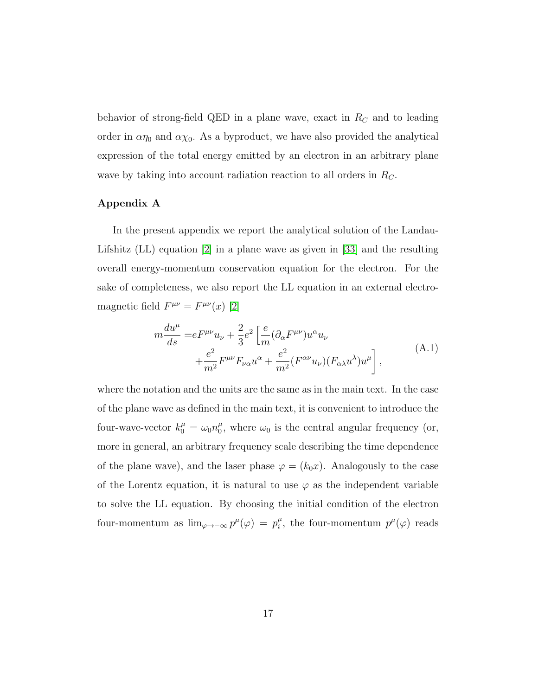behavior of strong-field QED in a plane wave, exact in  $R_C$  and to leading order in  $\alpha \eta_0$  and  $\alpha \chi_0$ . As a byproduct, we have also provided the analytical expression of the total energy emitted by an electron in an arbitrary plane wave by taking into account radiation reaction to all orders in  $R_C$ .

# Appendix A

In the present appendix we report the analytical solution of the Landau-Lifshitz (LL) equation [\[2\]](#page-22-1) in a plane wave as given in [\[33\]](#page-25-1) and the resulting overall energy-momentum conservation equation for the electron. For the sake of completeness, we also report the LL equation in an external electromagnetic field  $F^{\mu\nu} = F^{\mu\nu}(x)$  [\[2\]](#page-22-1)

<span id="page-16-0"></span>
$$
m\frac{du^{\mu}}{ds} = eF^{\mu\nu}u_{\nu} + \frac{2}{3}e^2 \left[\frac{e}{m}(\partial_{\alpha}F^{\mu\nu})u^{\alpha}u_{\nu} + \frac{e^2}{m^2}F^{\mu\nu}F_{\nu\alpha}u^{\alpha} + \frac{e^2}{m^2}(F^{\alpha\nu}u_{\nu})(F_{\alpha\lambda}u^{\lambda})u^{\mu}\right],
$$
\n(A.1)

where the notation and the units are the same as in the main text. In the case of the plane wave as defined in the main text, it is convenient to introduce the four-wave-vector  $k_0^{\mu} = \omega_0 n_0^{\mu}$  $\mu_0^{\mu}$ , where  $\omega_0$  is the central angular frequency (or, more in general, an arbitrary frequency scale describing the time dependence of the plane wave), and the laser phase  $\varphi = (k_0 x)$ . Analogously to the case of the Lorentz equation, it is natural to use  $\varphi$  as the independent variable to solve the LL equation. By choosing the initial condition of the electron four-momentum as  $\lim_{\varphi \to -\infty} p^{\mu}(\varphi) = p_i^{\mu}$  $\mu_i^{\mu}$ , the four-momentum  $p^{\mu}(\varphi)$  reads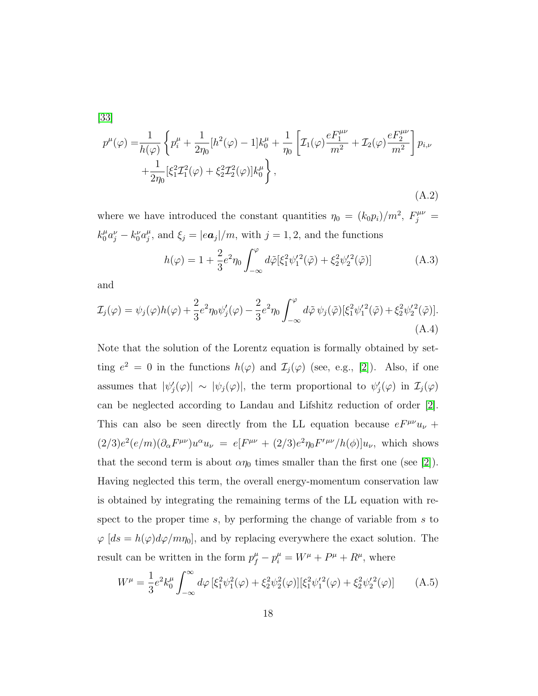<span id="page-17-0"></span>[\[33\]](#page-25-1)

$$
p^{\mu}(\varphi) = \frac{1}{h(\varphi)} \left\{ p_i^{\mu} + \frac{1}{2\eta_0} [h^2(\varphi) - 1] k_0^{\mu} + \frac{1}{\eta_0} \left[ \mathcal{I}_1(\varphi) \frac{e F_1^{\mu \nu}}{m^2} + \mathcal{I}_2(\varphi) \frac{e F_2^{\mu \nu}}{m^2} \right] p_{i,\nu} + \frac{1}{2\eta_0} \left[ \xi_1^2 \mathcal{I}_1^2(\varphi) + \xi_2^2 \mathcal{I}_2^2(\varphi) \right] k_0^{\mu} \right\},
$$
\n(A.2)

where we have introduced the constant quantities  $\eta_0 = (k_0 p_i)/m^2$ ,  $F_j^{\mu\nu} =$  $k_0^{\mu} a_j^{\nu} - k_0^{\nu} a_j^{\mu}$  $j_j^{\mu}$ , and  $\xi_j = |e\mathbf{a}_j|/m$ , with  $j = 1, 2$ , and the functions

<span id="page-17-1"></span>
$$
h(\varphi) = 1 + \frac{2}{3} e^2 \eta_0 \int_{-\infty}^{\varphi} d\tilde{\varphi} [\xi_1^2 \psi_1^{\prime 2}(\tilde{\varphi}) + \xi_2^2 \psi_2^{\prime 2}(\tilde{\varphi})]
$$
(A.3)

<span id="page-17-2"></span>and

$$
\mathcal{I}_j(\varphi) = \psi_j(\varphi)h(\varphi) + \frac{2}{3}e^2\eta_0\psi'_j(\varphi) - \frac{2}{3}e^2\eta_0 \int_{-\infty}^{\varphi} d\tilde{\varphi} \,\psi_j(\tilde{\varphi})[\xi_1^2\psi_1'^2(\tilde{\varphi}) + \xi_2^2\psi_2'^2(\tilde{\varphi})].
$$
\n(A.4)

Note that the solution of the Lorentz equation is formally obtained by setting  $e^2 = 0$  in the functions  $h(\varphi)$  and  $\mathcal{I}_j(\varphi)$  (see, e.g., [\[2\]](#page-22-1)). Also, if one assumes that  $|\psi_j'(\varphi)| \sim |\psi_j(\varphi)|$ , the term proportional to  $\psi_j'(\varphi)$  in  $\mathcal{I}_j(\varphi)$ can be neglected according to Landau and Lifshitz reduction of order [\[2\]](#page-22-1). This can also be seen directly from the LL equation because  $eF^{\mu\nu}u_{\nu}$  +  $(2/3)e^{2}(e/m)(\partial_{\alpha}F^{\mu\nu})u^{\alpha}u_{\nu} = e[F^{\mu\nu} + (2/3)e^{2}\eta_{0}F^{\prime\mu\nu}/h(\phi)]u_{\nu}$ , which shows that the second term is about  $\alpha \eta_0$  times smaller than the first one (see [\[2\]](#page-22-1)). Having neglected this term, the overall energy-momentum conservation law is obtained by integrating the remaining terms of the LL equation with respect to the proper time s, by performing the change of variable from s to  $\varphi$  [ds = h( $\varphi$ )d $\varphi$ /m<sub>10</sub>], and by replacing everywhere the exact solution. The result can be written in the form  $p_f^{\mu} - p_i^{\mu} = W^{\mu} + P^{\mu} + R^{\mu}$ , where

$$
W^{\mu} = \frac{1}{3} e^2 k_0^{\mu} \int_{-\infty}^{\infty} d\varphi \, [\xi_1^2 \psi_1^2(\varphi) + \xi_2^2 \psi_2^2(\varphi)] [\xi_1^2 \psi_1^{\prime 2}(\varphi) + \xi_2^2 \psi_2^{\prime 2}(\varphi)] \tag{A.5}
$$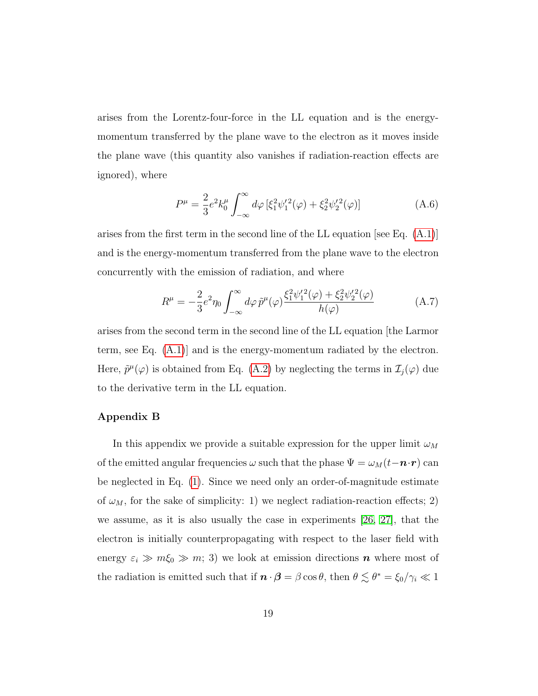arises from the Lorentz-four-force in the LL equation and is the energymomentum transferred by the plane wave to the electron as it moves inside the plane wave (this quantity also vanishes if radiation-reaction effects are ignored), where

$$
P^{\mu} = \frac{2}{3} e^2 k_0^{\mu} \int_{-\infty}^{\infty} d\varphi \left[ \xi_1^2 \psi_1^{\prime 2}(\varphi) + \xi_2^2 \psi_2^{\prime 2}(\varphi) \right]
$$
 (A.6)

arises from the first term in the second line of the LL equation [see Eq.  $(A.1)$ ] and is the energy-momentum transferred from the plane wave to the electron concurrently with the emission of radiation, and where

$$
R^{\mu} = -\frac{2}{3}e^2 \eta_0 \int_{-\infty}^{\infty} d\varphi \, \tilde{p}^{\mu}(\varphi) \frac{\xi_1^2 \psi_1^{\prime 2}(\varphi) + \xi_2^2 \psi_2^{\prime 2}(\varphi)}{h(\varphi)}
$$
(A.7)

arises from the second term in the second line of the LL equation [the Larmor term, see Eq. [\(A.1\)](#page-16-0)] and is the energy-momentum radiated by the electron. Here,  $\tilde{p}^{\mu}(\varphi)$  is obtained from Eq. [\(A.2\)](#page-17-0) by neglecting the terms in  $\mathcal{I}_j(\varphi)$  due to the derivative term in the LL equation.

# Appendix B

In this appendix we provide a suitable expression for the upper limit  $\omega_M$ of the emitted angular frequencies  $\omega$  such that the phase  $\Psi = \omega_M(t - \mathbf{n} \cdot \mathbf{r})$  can be neglected in Eq. [\(1\)](#page-4-0). Since we need only an order-of-magnitude estimate of  $\omega_M$ , for the sake of simplicity: 1) we neglect radiation-reaction effects; 2) we assume, as it is also usually the case in experiments [\[26,](#page-24-3) [27\]](#page-24-4), that the electron is initially counterpropagating with respect to the laser field with energy  $\varepsilon_i \gg m\zeta_0 \gg m$ ; 3) we look at emission directions **n** where most of the radiation is emitted such that if  $\mathbf{n} \cdot \mathbf{\beta} = \beta \cos \theta$ , then  $\theta \lesssim \theta^* = \xi_0 / \gamma_i \ll 1$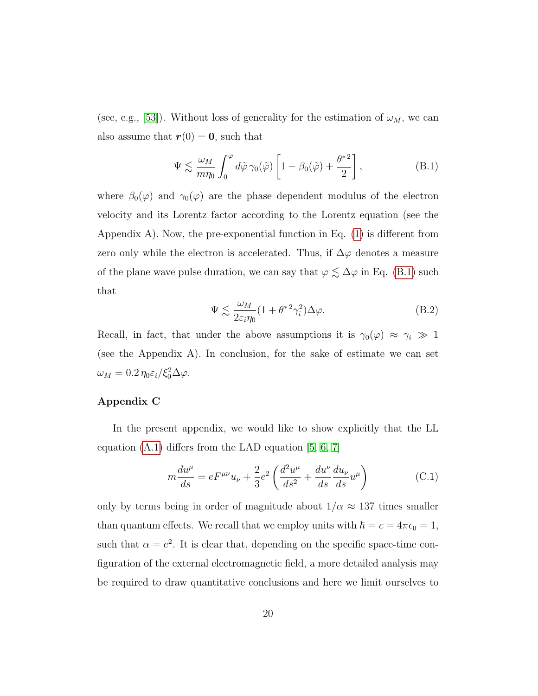(see, e.g., [\[53\]](#page-26-9)). Without loss of generality for the estimation of  $\omega_M$ , we can also assume that  $r(0) = 0$ , such that

$$
\Psi \lesssim \frac{\omega_M}{m\eta_0} \int_0^{\varphi} d\tilde{\varphi} \,\gamma_0(\tilde{\varphi}) \left[ 1 - \beta_0(\tilde{\varphi}) + \frac{\theta^{*2}}{2} \right],\tag{B.1}
$$

where  $\beta_0(\varphi)$  and  $\gamma_0(\varphi)$  are the phase dependent modulus of the electron velocity and its Lorentz factor according to the Lorentz equation (see the Appendix A). Now, the pre-exponential function in Eq. [\(1\)](#page-4-0) is different from zero only while the electron is accelerated. Thus, if  $\Delta\varphi$  denotes a measure of the plane wave pulse duration, we can say that  $\varphi \lesssim \Delta \varphi$  in Eq. [\(B.1\)](#page-16-0) such that

$$
\Psi \lesssim \frac{\omega_M}{2\varepsilon_i \eta_0} (1 + \theta^{*2} \gamma_i^2) \Delta \varphi.
$$
\n(B.2)

Recall, in fact, that under the above assumptions it is  $\gamma_0(\varphi) \approx \gamma_i \gg 1$ (see the Appendix A). In conclusion, for the sake of estimate we can set  $\omega_M = 0.2 \eta_0 \varepsilon_i / \xi_0^2 \Delta \varphi.$ 

# Appendix C

In the present appendix, we would like to show explicitly that the LL equation  $(A.1)$  differs from the LAD equation  $[5, 6, 7]$  $[5, 6, 7]$  $[5, 6, 7]$ 

$$
m\frac{du^{\mu}}{ds} = eF^{\mu\nu}u_{\nu} + \frac{2}{3}e^{2}\left(\frac{d^{2}u^{\mu}}{ds^{2}} + \frac{du^{\nu}}{ds}\frac{du_{\nu}}{ds}u^{\mu}\right)
$$
(C.1)

only by terms being in order of magnitude about  $1/\alpha$   $\approx$  137 times smaller than quantum effects. We recall that we employ units with  $\hbar = c = 4\pi\epsilon_0 = 1$ , such that  $\alpha = e^2$ . It is clear that, depending on the specific space-time configuration of the external electromagnetic field, a more detailed analysis may be required to draw quantitative conclusions and here we limit ourselves to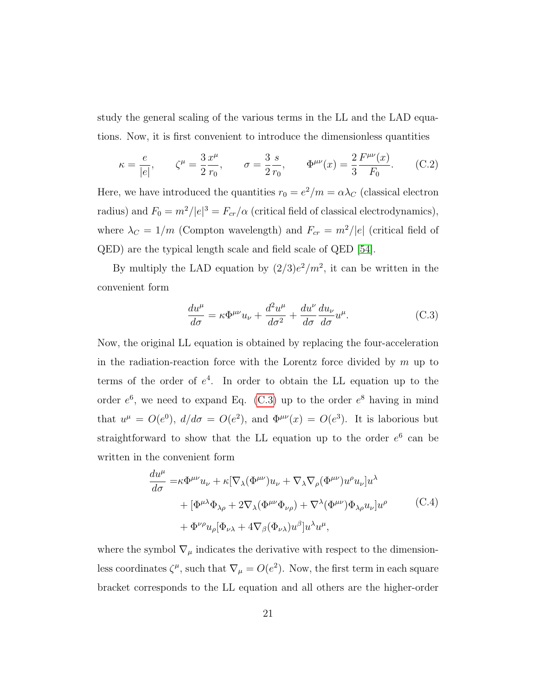study the general scaling of the various terms in the LL and the LAD equations. Now, it is first convenient to introduce the dimensionless quantities

$$
\kappa = \frac{e}{|e|}, \qquad \zeta^{\mu} = \frac{3}{2} \frac{x^{\mu}}{r_0}, \qquad \sigma = \frac{3}{2} \frac{s}{r_0}, \qquad \Phi^{\mu\nu}(x) = \frac{2}{3} \frac{F^{\mu\nu}(x)}{F_0}.
$$
 (C.2)

Here, we have introduced the quantities  $r_0 = e^2/m = \alpha \lambda_C$  (classical electron radius) and  $F_0 = m^2/|e|^3 = F_{cr}/\alpha$  (critical field of classical electrodynamics), where  $\lambda_C = 1/m$  (Compton wavelength) and  $F_{cr} = m^2/|e|$  (critical field of QED) are the typical length scale and field scale of QED [\[54\]](#page-26-10).

By multiply the LAD equation by  $(2/3)e^2/m^2$ , it can be written in the convenient form

$$
\frac{du^{\mu}}{d\sigma} = \kappa \Phi^{\mu\nu} u_{\nu} + \frac{d^2 u^{\mu}}{d\sigma^2} + \frac{du^{\nu}}{d\sigma} \frac{du_{\nu}}{d\sigma} u^{\mu}.
$$
 (C.3)

Now, the original LL equation is obtained by replacing the four-acceleration in the radiation-reaction force with the Lorentz force divided by  $m$  up to terms of the order of  $e^4$ . In order to obtain the LL equation up to the order  $e^6$ , we need to expand Eq. [\(C.3\)](#page-17-1) up to the order  $e^8$  having in mind that  $u^{\mu} = O(e^{0}), d/d\sigma = O(e^{2}),$  and  $\Phi^{\mu\nu}(x) = O(e^{3}).$  It is laborious but straightforward to show that the LL equation up to the order  $e^6$  can be written in the convenient form

$$
\frac{du^{\mu}}{d\sigma} = \kappa \Phi^{\mu\nu} u_{\nu} + \kappa [\nabla_{\lambda} (\Phi^{\mu\nu}) u_{\nu} + \nabla_{\lambda} \nabla_{\rho} (\Phi^{\mu\nu}) u^{\rho} u_{\nu}] u^{\lambda} \n+ [\Phi^{\mu\lambda} \Phi_{\lambda\rho} + 2 \nabla_{\lambda} (\Phi^{\mu\nu} \Phi_{\nu\rho}) + \nabla^{\lambda} (\Phi^{\mu\nu}) \Phi_{\lambda\rho} u_{\nu}] u^{\rho} \n+ \Phi^{\nu\rho} u_{\rho} [\Phi_{\nu\lambda} + 4 \nabla_{\beta} (\Phi_{\nu\lambda}) u^{\beta}] u^{\lambda} u^{\mu},
$$
\n(C.4)

where the symbol  $\nabla_{\mu}$  indicates the derivative with respect to the dimensionless coordinates  $\zeta^{\mu}$ , such that  $\nabla_{\mu} = O(e^2)$ . Now, the first term in each square bracket corresponds to the LL equation and all others are the higher-order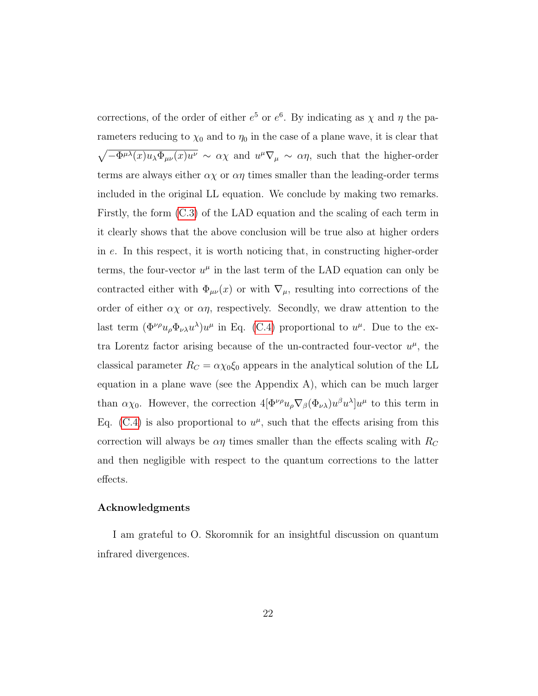corrections, of the order of either  $e^5$  or  $e^6$ . By indicating as  $\chi$  and  $\eta$  the parameters reducing to  $\chi_0$  and to  $\eta_0$  in the case of a plane wave, it is clear that  $\sqrt{-\Phi^{\mu\lambda}(x)u_\lambda\Phi_{\mu\nu}(x)u^\nu} \sim \alpha\chi$  and  $u^\mu \nabla_\mu \sim \alpha\eta$ , such that the higher-order terms are always either  $\alpha \chi$  or  $\alpha \eta$  times smaller than the leading-order terms included in the original LL equation. We conclude by making two remarks. Firstly, the form [\(C.3\)](#page-17-1) of the LAD equation and the scaling of each term in it clearly shows that the above conclusion will be true also at higher orders in e. In this respect, it is worth noticing that, in constructing higher-order terms, the four-vector  $u^{\mu}$  in the last term of the LAD equation can only be contracted either with  $\Phi_{\mu\nu}(x)$  or with  $\nabla_{\mu}$ , resulting into corrections of the order of either  $\alpha \chi$  or  $\alpha \eta$ , respectively. Secondly, we draw attention to the last term  $(\Phi^{\nu\rho}u_{\rho}\Phi_{\nu\lambda}u^{\lambda})u^{\mu}$  in Eq. [\(C.4\)](#page-17-2) proportional to  $u^{\mu}$ . Due to the extra Lorentz factor arising because of the un-contracted four-vector  $u^{\mu}$ , the classical parameter  $R_C = \alpha \chi_0 \xi_0$  appears in the analytical solution of the LL equation in a plane wave (see the Appendix A), which can be much larger than  $\alpha\chi_0$ . However, the correction  $4[\Phi^{\nu\rho}u_{\rho}\nabla_{\beta}(\Phi_{\nu\lambda})u^{\beta}u^{\lambda}]u^{\mu}$  to this term in Eq. [\(C.4\)](#page-17-2) is also proportional to  $u^{\mu}$ , such that the effects arising from this correction will always be  $\alpha\eta$  times smaller than the effects scaling with  $R_C$ and then negligible with respect to the quantum corrections to the latter effects.

### Acknowledgments

I am grateful to O. Skoromnik for an insightful discussion on quantum infrared divergences.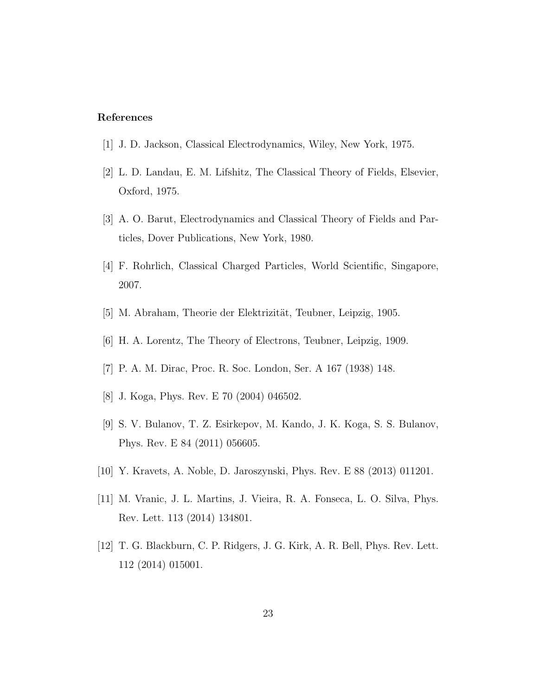# References

- <span id="page-22-0"></span>[1] J. D. Jackson, Classical Electrodynamics, Wiley, New York, 1975.
- <span id="page-22-1"></span>[2] L. D. Landau, E. M. Lifshitz, The Classical Theory of Fields, Elsevier, Oxford, 1975.
- <span id="page-22-2"></span>[3] A. O. Barut, Electrodynamics and Classical Theory of Fields and Particles, Dover Publications, New York, 1980.
- <span id="page-22-3"></span>[4] F. Rohrlich, Classical Charged Particles, World Scientific, Singapore, 2007.
- <span id="page-22-4"></span>[5] M. Abraham, Theorie der Elektrizität, Teubner, Leipzig, 1905.
- <span id="page-22-5"></span>[6] H. A. Lorentz, The Theory of Electrons, Teubner, Leipzig, 1909.
- <span id="page-22-6"></span>[7] P. A. M. Dirac, Proc. R. Soc. London, Ser. A 167 (1938) 148.
- <span id="page-22-7"></span>[8] J. Koga, Phys. Rev. E 70 (2004) 046502.
- <span id="page-22-8"></span>[9] S. V. Bulanov, T. Z. Esirkepov, M. Kando, J. K. Koga, S. S. Bulanov, Phys. Rev. E 84 (2011) 056605.
- <span id="page-22-9"></span>[10] Y. Kravets, A. Noble, D. Jaroszynski, Phys. Rev. E 88 (2013) 011201.
- <span id="page-22-10"></span>[11] M. Vranic, J. L. Martins, J. Vieira, R. A. Fonseca, L. O. Silva, Phys. Rev. Lett. 113 (2014) 134801.
- <span id="page-22-11"></span>[12] T. G. Blackburn, C. P. Ridgers, J. G. Kirk, A. R. Bell, Phys. Rev. Lett. 112 (2014) 015001.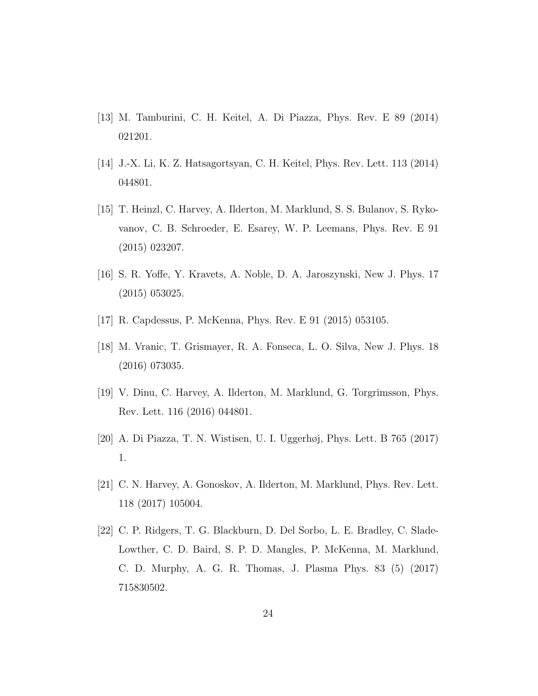- <span id="page-23-0"></span>[13] M. Tamburini, C. H. Keitel, A. Di Piazza, Phys. Rev. E 89 (2014) 021201.
- <span id="page-23-1"></span>[14] J.-X. Li, K. Z. Hatsagortsyan, C. H. Keitel, Phys. Rev. Lett. 113 (2014) 044801.
- <span id="page-23-2"></span>[15] T. Heinzl, C. Harvey, A. Ilderton, M. Marklund, S. S. Bulanov, S. Rykovanov, C. B. Schroeder, E. Esarey, W. P. Leemans, Phys. Rev. E 91 (2015) 023207.
- <span id="page-23-3"></span>[16] S. R. Yoffe, Y. Kravets, A. Noble, D. A. Jaroszynski, New J. Phys. 17 (2015) 053025.
- <span id="page-23-4"></span>[17] R. Capdessus, P. McKenna, Phys. Rev. E 91 (2015) 053105.
- <span id="page-23-5"></span>[18] M. Vranic, T. Grismayer, R. A. Fonseca, L. O. Silva, New J. Phys. 18 (2016) 073035.
- <span id="page-23-6"></span>[19] V. Dinu, C. Harvey, A. Ilderton, M. Marklund, G. Torgrimsson, Phys. Rev. Lett. 116 (2016) 044801.
- <span id="page-23-7"></span>[20] A. Di Piazza, T. N. Wistisen, U. I. Uggerhøj, Phys. Lett. B 765 (2017) 1.
- <span id="page-23-8"></span>[21] C. N. Harvey, A. Gonoskov, A. Ilderton, M. Marklund, Phys. Rev. Lett. 118 (2017) 105004.
- <span id="page-23-9"></span>[22] C. P. Ridgers, T. G. Blackburn, D. Del Sorbo, L. E. Bradley, C. Slade-Lowther, C. D. Baird, S. P. D. Mangles, P. McKenna, M. Marklund, C. D. Murphy, A. G. R. Thomas, J. Plasma Phys. 83 (5) (2017) 715830502.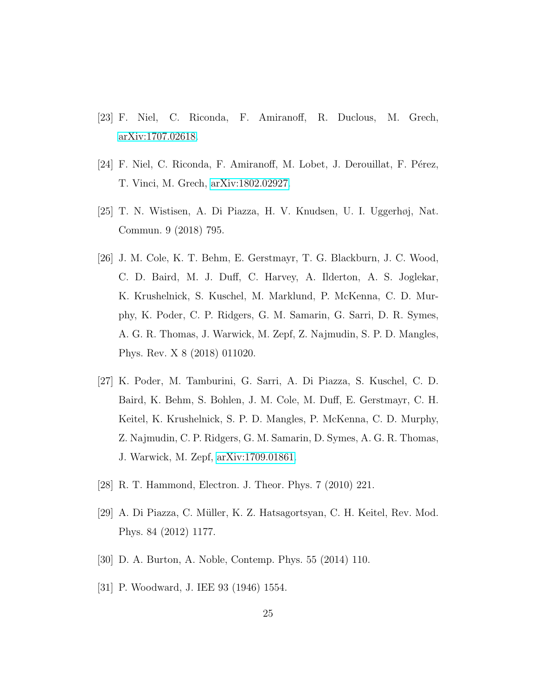- <span id="page-24-0"></span>[23] F. Niel, C. Riconda, F. Amiranoff, R. Duclous, M. Grech, [arXiv:1707.02618.](http://arxiv.org/abs/1707.02618)
- <span id="page-24-1"></span>[24] F. Niel, C. Riconda, F. Amiranoff, M. Lobet, J. Derouillat, F. Pérez, T. Vinci, M. Grech, [arXiv:1802.02927.](http://arxiv.org/abs/1802.02927)
- <span id="page-24-2"></span>[25] T. N. Wistisen, A. Di Piazza, H. V. Knudsen, U. I. Uggerhøj, Nat. Commun. 9 (2018) 795.
- <span id="page-24-3"></span>[26] J. M. Cole, K. T. Behm, E. Gerstmayr, T. G. Blackburn, J. C. Wood, C. D. Baird, M. J. Duff, C. Harvey, A. Ilderton, A. S. Joglekar, K. Krushelnick, S. Kuschel, M. Marklund, P. McKenna, C. D. Murphy, K. Poder, C. P. Ridgers, G. M. Samarin, G. Sarri, D. R. Symes, A. G. R. Thomas, J. Warwick, M. Zepf, Z. Najmudin, S. P. D. Mangles, Phys. Rev. X 8 (2018) 011020.
- <span id="page-24-4"></span>[27] K. Poder, M. Tamburini, G. Sarri, A. Di Piazza, S. Kuschel, C. D. Baird, K. Behm, S. Bohlen, J. M. Cole, M. Duff, E. Gerstmayr, C. H. Keitel, K. Krushelnick, S. P. D. Mangles, P. McKenna, C. D. Murphy, Z. Najmudin, C. P. Ridgers, G. M. Samarin, D. Symes, A. G. R. Thomas, J. Warwick, M. Zepf, [arXiv:1709.01861.](http://arxiv.org/abs/1709.01861)
- <span id="page-24-5"></span>[28] R. T. Hammond, Electron. J. Theor. Phys. 7 (2010) 221.
- <span id="page-24-6"></span>[29] A. Di Piazza, C. Müller, K. Z. Hatsagortsyan, C. H. Keitel, Rev. Mod. Phys. 84 (2012) 1177.
- <span id="page-24-7"></span>[30] D. A. Burton, A. Noble, Contemp. Phys. 55 (2014) 110.
- <span id="page-24-8"></span>[31] P. Woodward, J. IEE 93 (1946) 1554.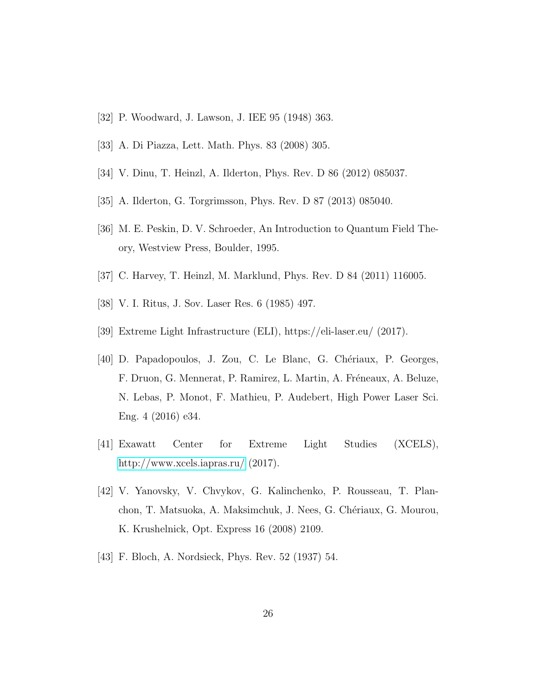- <span id="page-25-0"></span>[32] P. Woodward, J. Lawson, J. IEE 95 (1948) 363.
- <span id="page-25-1"></span>[33] A. Di Piazza, Lett. Math. Phys. 83 (2008) 305.
- <span id="page-25-2"></span>[34] V. Dinu, T. Heinzl, A. Ilderton, Phys. Rev. D 86 (2012) 085037.
- <span id="page-25-3"></span>[35] A. Ilderton, G. Torgrimsson, Phys. Rev. D 87 (2013) 085040.
- <span id="page-25-4"></span>[36] M. E. Peskin, D. V. Schroeder, An Introduction to Quantum Field Theory, Westview Press, Boulder, 1995.
- <span id="page-25-5"></span>[37] C. Harvey, T. Heinzl, M. Marklund, Phys. Rev. D 84 (2011) 116005.
- <span id="page-25-6"></span>[38] V. I. Ritus, J. Sov. Laser Res. 6 (1985) 497.
- <span id="page-25-7"></span>[39] Extreme Light Infrastructure (ELI), https://eli-laser.eu/ (2017).
- <span id="page-25-8"></span>[40] D. Papadopoulos, J. Zou, C. Le Blanc, G. Chériaux, P. Georges, F. Druon, G. Mennerat, P. Ramirez, L. Martin, A. Fréneaux, A. Beluze, N. Lebas, P. Monot, F. Mathieu, P. Audebert, High Power Laser Sci. Eng. 4 (2016) e34.
- <span id="page-25-9"></span>[41] Exawatt Center for Extreme Light Studies (XCELS), <http://www.xcels.iapras.ru/> (2017).
- <span id="page-25-10"></span>[42] V. Yanovsky, V. Chvykov, G. Kalinchenko, P. Rousseau, T. Planchon, T. Matsuoka, A. Maksimchuk, J. Nees, G. Chériaux, G. Mourou, K. Krushelnick, Opt. Express 16 (2008) 2109.
- <span id="page-25-11"></span>[43] F. Bloch, A. Nordsieck, Phys. Rev. 52 (1937) 54.